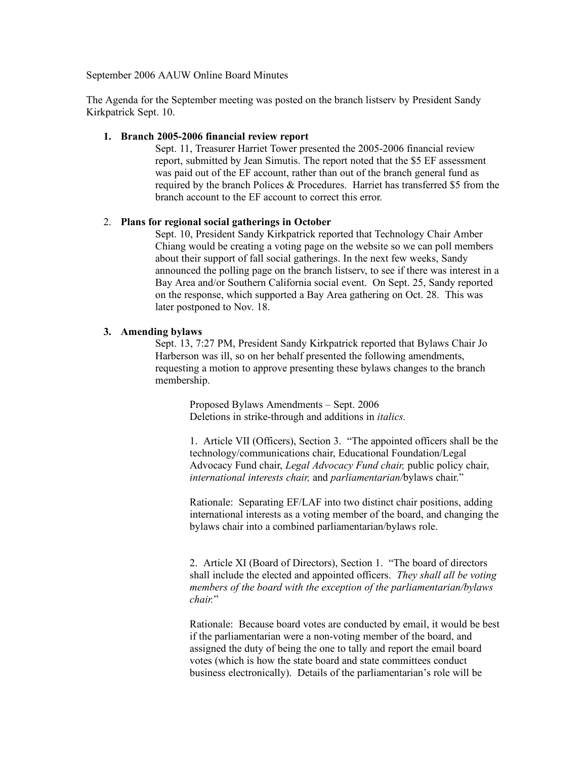September 2006 AAUW Online Board Minutes

The Agenda for the September meeting was posted on the branch listserv by President Sandy Kirkpatrick Sept. 10.

### **1. Branch 2005-2006 financial review report**

Sept. 11, Treasurer Harriet Tower presented the 2005-2006 financial review report, submitted by Jean Simutis. The report noted that the \$5 EF assessment was paid out of the EF account, rather than out of the branch general fund as required by the branch Polices & Procedures. Harriet has transferred \$5 from the branch account to the EF account to correct this error.

### 2. **Plans for regional social gatherings in October**

Sept. 10, President Sandy Kirkpatrick reported that Technology Chair Amber Chiang would be creating a voting page on the website so we can poll members about their support of fall social gatherings. In the next few weeks, Sandy announced the polling page on the branch listserv, to see if there was interest in a Bay Area and/or Southern California social event. On Sept. 25, Sandy reported on the response, which supported a Bay Area gathering on Oct. 28. This was later postponed to Nov. 18.

### **3. Amending bylaws**

Sept. 13, 7:27 PM, President Sandy Kirkpatrick reported that Bylaws Chair Jo Harberson was ill, so on her behalf presented the following amendments, requesting a motion to approve presenting these bylaws changes to the branch membership.

> Proposed Bylaws Amendments – Sept. 2006 Deletions in strike-through and additions in *italics.*

1. Article VII (Officers), Section 3. "The appointed officers shall be the technology/communications chair, Educational Foundation/Legal Advocacy Fund chair, *Legal Advocacy Fund chair,* public policy chair, *international interests chair,* and *parliamentarian/*bylaws chair."

Rationale: Separating EF/LAF into two distinct chair positions, adding international interests as a voting member of the board, and changing the bylaws chair into a combined parliamentarian/bylaws role.

2. Article XI (Board of Directors), Section 1. "The board of directors shall include the elected and appointed officers. *They shall all be voting members of the board with the exception of the parliamentarian/bylaws chair.*"

Rationale: Because board votes are conducted by email, it would be best if the parliamentarian were a non-voting member of the board, and assigned the duty of being the one to tally and report the email board votes (which is how the state board and state committees conduct business electronically). Details of the parliamentarian's role will be